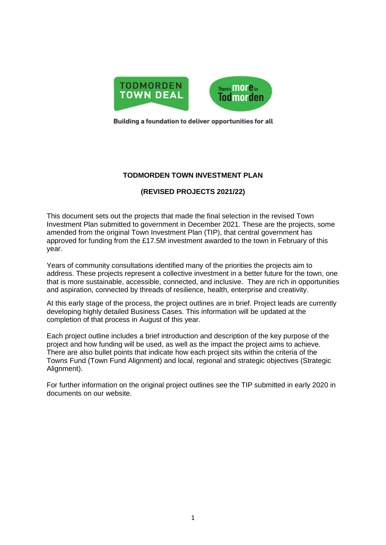

Building a foundation to deliver opportunities for all

## **TODMORDEN TOWN INVESTMENT PLAN**

# **(REVISED PROJECTS 2021/22)**

This document sets out the projects that made the final selection in the revised Town Investment Plan submitted to government in December 2021. These are the projects, some amended from the original Town Investment Plan (TIP), that central government has approved for funding from the £17.5M investment awarded to the town in February of this year.

Years of community consultations identified many of the priorities the projects aim to address. These projects represent a collective investment in a better future for the town, one that is more sustainable, accessible, connected, and inclusive. They are rich in opportunities and aspiration, connected by threads of resilience, health, enterprise and creativity.

At this early stage of the process, the project outlines are in brief. Project leads are currently developing highly detailed Business Cases. This information will be updated at the completion of that process in August of this year.

Each project outline includes a brief introduction and description of the key purpose of the project and how funding will be used, as well as the impact the project aims to achieve. There are also bullet points that indicate how each project sits within the criteria of the Towns Fund (Town Fund Alignment) and local, regional and strategic objectives (Strategic Alignment).

For further information on the original project outlines see the TIP submitted in early 2020 in documents on our website.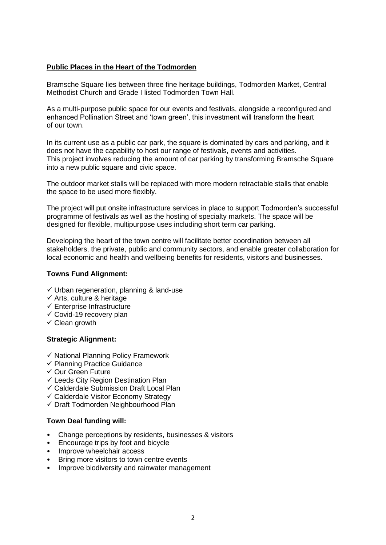### **Public Places in the Heart of the Todmorden**

Bramsche Square lies between three fine heritage buildings, Todmorden Market, Central Methodist Church and Grade I listed Todmorden Town Hall.

As a multi-purpose public space for our events and festivals, alongside a reconfigured and enhanced Pollination Street and 'town green', this investment will transform the heart of our town.

In its current use as a public car park, the square is dominated by cars and parking, and it does not have the capability to host our range of festivals, events and activities. This project involves reducing the amount of car parking by transforming Bramsche Square into a new public square and civic space.

The outdoor market stalls will be replaced with more modern retractable stalls that enable the space to be used more flexibly.

The project will put onsite infrastructure services in place to support Todmorden's successful programme of festivals as well as the hosting of specialty markets. The space will be designed for flexible, multipurpose uses including short term car parking.

Developing the heart of the town centre will facilitate better coordination between all stakeholders, the private, public and community sectors, and enable greater collaboration for local economic and health and wellbeing benefits for residents, visitors and businesses.

#### **Towns Fund Alignment:**

- $\checkmark$  Urban regeneration, planning & land-use
- $\checkmark$  Arts, culture & heritage
- $\checkmark$  Enterprise Infrastructure
- $\checkmark$  Covid-19 recovery plan
- ✓ Clean growth

### **Strategic Alignment:**

- ✓ National Planning Policy Framework
- ✓ Planning Practice Guidance
- ✓ Our Green Future
- $\checkmark$  Leeds City Region Destination Plan
- ✓ Calderdale Submission Draft Local Plan
- ✓ Calderdale Visitor Economy Strategy
- ✓ Draft Todmorden Neighbourhood Plan

- Change perceptions by residents, businesses & visitors
- Encourage trips by foot and bicycle
- Improve wheelchair access
- Bring more visitors to town centre events
- Improve biodiversity and rainwater management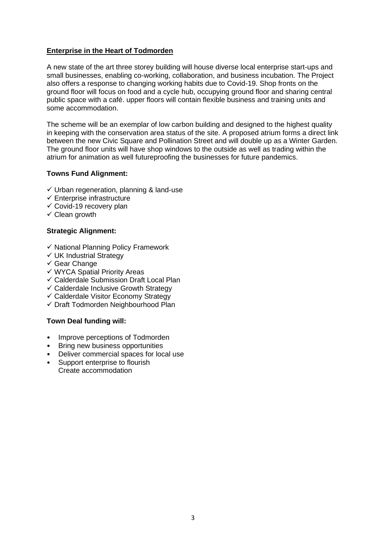### **Enterprise in the Heart of Todmorden**

A new state of the art three storey building will house diverse local enterprise start-ups and small businesses, enabling co-working, collaboration, and business incubation. The Project also offers a response to changing working habits due to Covid-19. Shop fronts on the ground floor will focus on food and a cycle hub, occupying ground floor and sharing central public space with a café. upper floors will contain flexible business and training units and some accommodation.

The scheme will be an exemplar of low carbon building and designed to the highest quality in keeping with the conservation area status of the site. A proposed atrium forms a direct link between the new Civic Square and Pollination Street and will double up as a Winter Garden. The ground floor units will have shop windows to the outside as well as trading within the atrium for animation as well futureproofing the businesses for future pandemics.

### **Towns Fund Alignment:**

- $\checkmark$  Urban regeneration, planning & land-use
- $\checkmark$  Enterprise infrastructure
- $\checkmark$  Covid-19 recovery plan
- $\checkmark$  Clean growth

### **Strategic Alignment:**

- ✓ National Planning Policy Framework
- $\checkmark$  UK Industrial Strategy
- ✓ Gear Change
- ✓ WYCA Spatial Priority Areas
- ✓ Calderdale Submission Draft Local Plan
- ✓ Calderdale Inclusive Growth Strategy
- ✓ Calderdale Visitor Economy Strategy
- ✓ Draft Todmorden Neighbourhood Plan

- Improve perceptions of Todmorden
- Bring new business opportunities
- Deliver commercial spaces for local use
- Support enterprise to flourish Create accommodation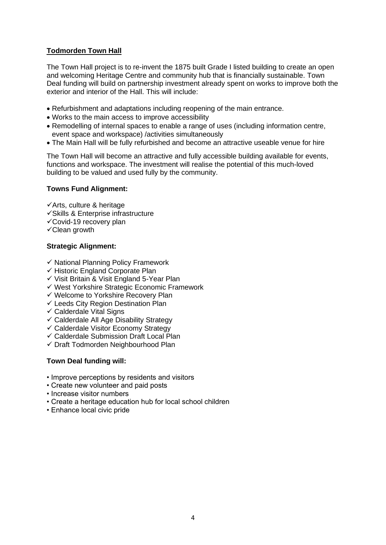## **Todmorden Town Hall**

The Town Hall project is to re-invent the 1875 built Grade I listed building to create an open and welcoming Heritage Centre and community hub that is financially sustainable. Town Deal funding will build on partnership investment already spent on works to improve both the exterior and interior of the Hall. This will include:

- Refurbishment and adaptations including reopening of the main entrance.
- Works to the main access to improve accessibility
- Remodelling of internal spaces to enable a range of uses (including information centre, event space and workspace) /activities simultaneously
- The Main Hall will be fully refurbished and become an attractive useable venue for hire

The Town Hall will become an attractive and fully accessible building available for events, functions and workspace. The investment will realise the potential of this much-loved building to be valued and used fully by the community.

#### **Towns Fund Alignment:**

✓Arts, culture & heritage

- ✓Skills & Enterprise infrastructure
- $\checkmark$ Covid-19 recovery plan
- ✓Clean growth

### **Strategic Alignment:**

- ✓ National Planning Policy Framework
- ✓ Historic England Corporate Plan
- ✓ Visit Britain & Visit England 5-Year Plan
- ✓ West Yorkshire Strategic Economic Framework
- ✓ Welcome to Yorkshire Recovery Plan
- $\checkmark$  Leeds City Region Destination Plan
- $\checkmark$  Calderdale Vital Signs
- $\checkmark$  Calderdale All Age Disability Strategy
- ✓ Calderdale Visitor Economy Strategy
- $\checkmark$  Calderdale Submission Draft Local Plan
- ✓ Draft Todmorden Neighbourhood Plan

- Improve perceptions by residents and visitors
- Create new volunteer and paid posts
- Increase visitor numbers
- Create a heritage education hub for local school children
- Enhance local civic pride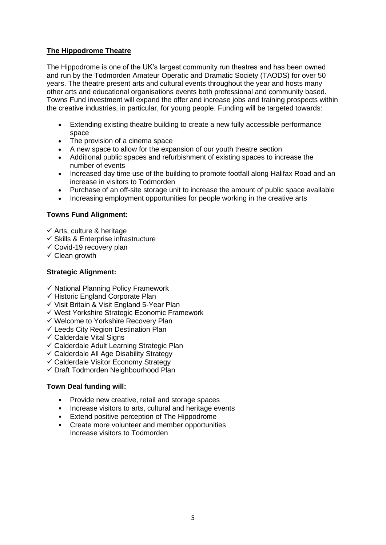## **The Hippodrome Theatre**

The Hippodrome is one of the UK's largest community run theatres and has been owned and run by the Todmorden Amateur Operatic and Dramatic Society (TAODS) for over 50 years. The theatre present arts and cultural events throughout the year and hosts many other arts and educational organisations events both professional and community based. Towns Fund investment will expand the offer and increase jobs and training prospects within the creative industries, in particular, for young people. Funding will be targeted towards:

- Extending existing theatre building to create a new fully accessible performance space
- The provision of a cinema space
- A new space to allow for the expansion of our youth theatre section
- Additional public spaces and refurbishment of existing spaces to increase the number of events
- Increased day time use of the building to promote footfall along Halifax Road and an increase in visitors to Todmorden
- Purchase of an off-site storage unit to increase the amount of public space available
- Increasing employment opportunities for people working in the creative arts

# **Towns Fund Alignment:**

- $\checkmark$  Arts, culture & heritage
- ✓ Skills & Enterprise infrastructure
- $\checkmark$  Covid-19 recovery plan
- $\checkmark$  Clean growth

## **Strategic Alignment:**

- ✓ National Planning Policy Framework
- ✓ Historic England Corporate Plan
- ✓ Visit Britain & Visit England 5-Year Plan
- ✓ West Yorkshire Strategic Economic Framework
- ✓ Welcome to Yorkshire Recovery Plan
- ✓ Leeds City Region Destination Plan
- $\checkmark$  Calderdale Vital Signs
- ✓ Calderdale Adult Learning Strategic Plan
- $\checkmark$  Calderdale All Age Disability Strategy
- ✓ Calderdale Visitor Economy Strategy
- ✓ Draft Todmorden Neighbourhood Plan

- Provide new creative, retail and storage spaces
- Increase visitors to arts, cultural and heritage events
- Extend positive perception of The Hippodrome
- Create more volunteer and member opportunities Increase visitors to Todmorden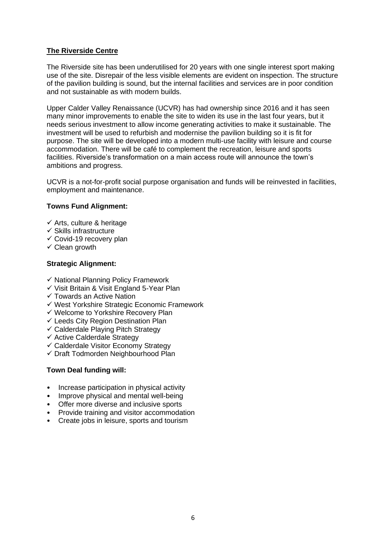## **The Riverside Centre**

The Riverside site has been underutilised for 20 years with one single interest sport making use of the site. Disrepair of the less visible elements are evident on inspection. The structure of the pavilion building is sound, but the internal facilities and services are in poor condition and not sustainable as with modern builds.

Upper Calder Valley Renaissance (UCVR) has had ownership since 2016 and it has seen many minor improvements to enable the site to widen its use in the last four years, but it needs serious investment to allow income generating activities to make it sustainable. The investment will be used to refurbish and modernise the pavilion building so it is fit for purpose. The site will be developed into a modern multi-use facility with leisure and course accommodation. There will be café to complement the recreation, leisure and sports facilities. Riverside's transformation on a main access route will announce the town's ambitions and progress.

UCVR is a not-for-profit social purpose organisation and funds will be reinvested in facilities, employment and maintenance.

### **Towns Fund Alignment:**

- $\checkmark$  Arts, culture & heritage
- $\checkmark$  Skills infrastructure
- $\checkmark$  Covid-19 recovery plan
- $\checkmark$  Clean growth

### **Strategic Alignment:**

- ✓ National Planning Policy Framework
- ✓ Visit Britain & Visit England 5-Year Plan
- ✓ Towards an Active Nation
- ✓ West Yorkshire Strategic Economic Framework
- ✓ Welcome to Yorkshire Recovery Plan
- $\checkmark$  Leeds City Region Destination Plan
- $\checkmark$  Calderdale Playing Pitch Strategy
- ✓ Active Calderdale Strategy
- ✓ Calderdale Visitor Economy Strategy
- $\checkmark$  Draft Todmorden Neighbourhood Plan

- Increase participation in physical activity
- Improve physical and mental well-being
- Offer more diverse and inclusive sports
- Provide training and visitor accommodation
- Create jobs in leisure, sports and tourism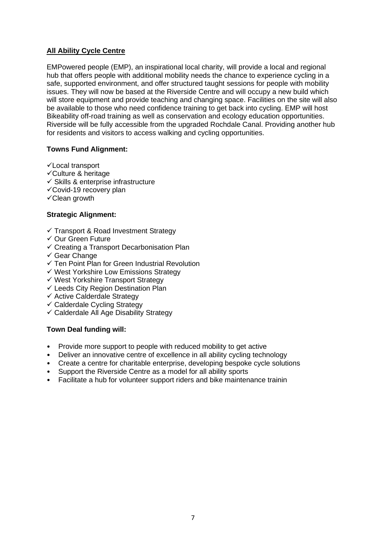## **All Ability Cycle Centre**

EMPowered people (EMP), an inspirational local charity, will provide a local and regional hub that offers people with additional mobility needs the chance to experience cycling in a safe, supported environment, and offer structured taught sessions for people with mobility issues. They will now be based at the Riverside Centre and will occupy a new build which will store equipment and provide teaching and changing space. Facilities on the site will also be available to those who need confidence training to get back into cycling. EMP will host Bikeability off-road training as well as conservation and ecology education opportunities. Riverside will be fully accessible from the upgraded Rochdale Canal. Providing another hub for residents and visitors to access walking and cycling opportunities.

## **Towns Fund Alignment:**

- ✓Local transport
- ✓Culture & heritage
- $\checkmark$  Skills & enterprise infrastructure
- ✓Covid-19 recovery plan
- ✓Clean growth

## **Strategic Alignment:**

- ✓ Transport & Road Investment Strategy
- ✓ Our Green Future
- $\checkmark$  Creating a Transport Decarbonisation Plan
- ✓ Gear Change
- ✓ Ten Point Plan for Green Industrial Revolution
- ✓ West Yorkshire Low Emissions Strategy
- ✓ West Yorkshire Transport Strategy
- $\checkmark$  Leeds City Region Destination Plan
- ✓ Active Calderdale Strategy
- ✓ Calderdale Cycling Strategy
- ✓ Calderdale All Age Disability Strategy

- Provide more support to people with reduced mobility to get active
- Deliver an innovative centre of excellence in all ability cycling technology
- Create a centre for charitable enterprise, developing bespoke cycle solutions
- Support the Riverside Centre as a model for all ability sports
- Facilitate a hub for volunteer support riders and bike maintenance trainin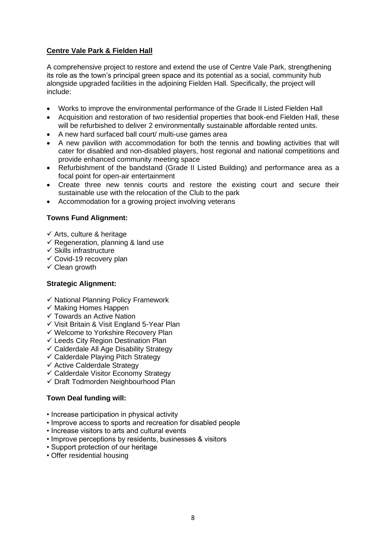## **Centre Vale Park & Fielden Hall**

A comprehensive project to restore and extend the use of Centre Vale Park, strengthening its role as the town's principal green space and its potential as a social, community hub alongside upgraded facilities in the adjoining Fielden Hall. Specifically, the project will include:

- Works to improve the environmental performance of the Grade II Listed Fielden Hall
- Acquisition and restoration of two residential properties that book-end Fielden Hall, these will be refurbished to deliver 2 environmentally sustainable affordable rented units.
- A new hard surfaced ball court/ multi-use games area
- A new pavilion with accommodation for both the tennis and bowling activities that will cater for disabled and non-disabled players, host regional and national competitions and provide enhanced community meeting space
- Refurbishment of the bandstand (Grade II Listed Building) and performance area as a focal point for open-air entertainment
- Create three new tennis courts and restore the existing court and secure their sustainable use with the relocation of the Club to the park
- Accommodation for a growing project involving veterans

## **Towns Fund Alignment:**

- $\checkmark$  Arts, culture & heritage
- $\checkmark$  Regeneration, planning & land use
- $\checkmark$  Skills infrastructure
- $\checkmark$  Covid-19 recovery plan
- $\checkmark$  Clean growth

### **Strategic Alignment:**

- ✓ National Planning Policy Framework
- ✓ Making Homes Happen
- ✓ Towards an Active Nation
- ✓ Visit Britain & Visit England 5-Year Plan
- ✓ Welcome to Yorkshire Recovery Plan
- ✓ Leeds City Region Destination Plan
- ✓ Calderdale All Age Disability Strategy
- $\checkmark$  Calderdale Playing Pitch Strategy
- ✓ Active Calderdale Strategy
- ✓ Calderdale Visitor Economy Strategy
- ✓ Draft Todmorden Neighbourhood Plan

- Increase participation in physical activity
- Improve access to sports and recreation for disabled people
- Increase visitors to arts and cultural events
- Improve perceptions by residents, businesses & visitors
- Support protection of our heritage
- Offer residential housing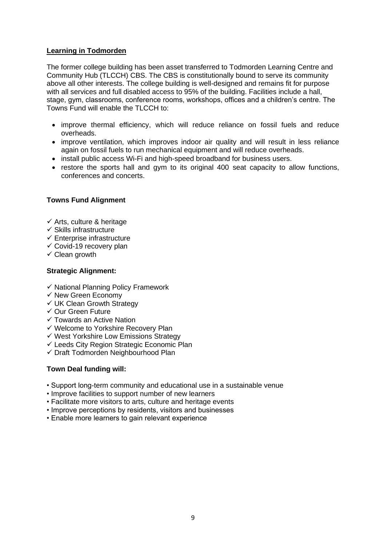### **Learning in Todmorden**

The former college building has been asset transferred to Todmorden Learning Centre and Community Hub (TLCCH) CBS. The CBS is constitutionally bound to serve its community above all other interests. The college building is well-designed and remains fit for purpose with all services and full disabled access to 95% of the building. Facilities include a hall, stage, gym, classrooms, conference rooms, workshops, offices and a children's centre. The Towns Fund will enable the TLCCH to:

- improve thermal efficiency, which will reduce reliance on fossil fuels and reduce overheads.
- improve ventilation, which improves indoor air quality and will result in less reliance again on fossil fuels to run mechanical equipment and will reduce overheads.
- install public access Wi-Fi and high-speed broadband for business users.
- restore the sports hall and gym to its original 400 seat capacity to allow functions. conferences and concerts.

### **Towns Fund Alignment**

- $\checkmark$  Arts, culture & heritage
- $\checkmark$  Skills infrastructure
- $\checkmark$  Enterprise infrastructure
- ✓ Covid-19 recovery plan
- $\checkmark$  Clean growth

### **Strategic Alignment:**

- ✓ National Planning Policy Framework
- ✓ New Green Economy
- ✓ UK Clean Growth Strategy
- ✓ Our Green Future
- ✓ Towards an Active Nation
- ✓ Welcome to Yorkshire Recovery Plan
- ✓ West Yorkshire Low Emissions Strategy
- ✓ Leeds City Region Strategic Economic Plan
- ✓ Draft Todmorden Neighbourhood Plan

- Support long-term community and educational use in a sustainable venue
- Improve facilities to support number of new learners
- Facilitate more visitors to arts, culture and heritage events
- Improve perceptions by residents, visitors and businesses
- Enable more learners to gain relevant experience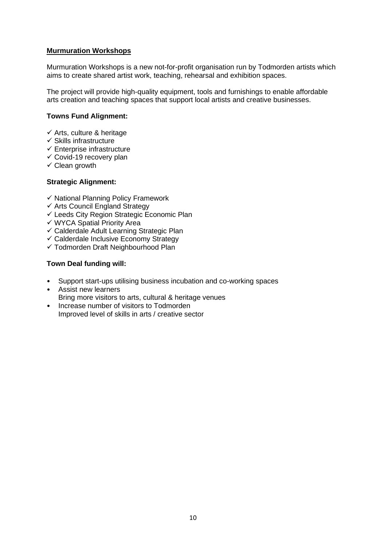### **Murmuration Workshops**

Murmuration Workshops is a new not-for-profit organisation run by Todmorden artists which aims to create shared artist work, teaching, rehearsal and exhibition spaces.

The project will provide high-quality equipment, tools and furnishings to enable affordable arts creation and teaching spaces that support local artists and creative businesses.

#### **Towns Fund Alignment:**

- $\checkmark$  Arts, culture & heritage
- $\checkmark$  Skills infrastructure
- ✓ Enterprise infrastructure
- $\checkmark$  Covid-19 recovery plan
- $\checkmark$  Clean growth

#### **Strategic Alignment:**

- ✓ National Planning Policy Framework
- ✓ Arts Council England Strategy
- ✓ Leeds City Region Strategic Economic Plan
- ✓ WYCA Spatial Priority Area
- $\checkmark$  Calderdale Adult Learning Strategic Plan
- ✓ Calderdale Inclusive Economy Strategy
- ✓ Todmorden Draft Neighbourhood Plan

- Support start-ups utilising business incubation and co-working spaces
- Assist new learners Bring more visitors to arts, cultural & heritage venues
- Increase number of visitors to Todmorden Improved level of skills in arts / creative sector